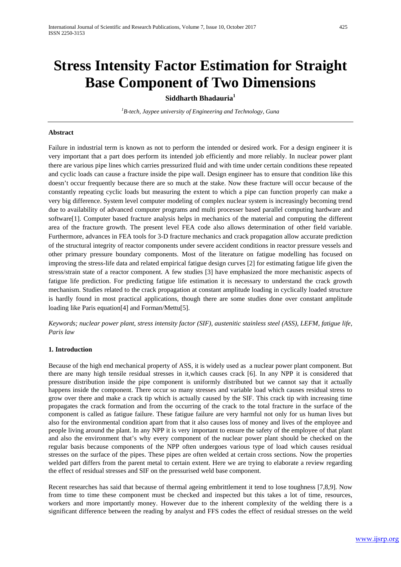# **Siddharth Bhadauria1**

*1 B-tech, Jaypee university of Engineering and Technology, Guna*

### **Abstract**

Failure in industrial term is known as not to perform the intended or desired work. For a design engineer it is very important that a part does perform its intended job efficiently and more reliably. In nuclear power plant there are various pipe lines which carries pressurized fluid and with time under certain conditions these repeated and cyclic loads can cause a fracture inside the pipe wall. Design engineer has to ensure that condition like this doesn't occur frequently because there are so much at the stake. Now these fracture will occur because of the constantly repeating cyclic loads but measuring the extent to which a pipe can function properly can make a very big difference. System level computer modeling of complex nuclear system is increasingly becoming trend due to availability of advanced computer programs and multi processer based parallel computing hardware and software[1]. Computer based fracture analysis helps in mechanics of the material and computing the different area of the fracture growth. The present level FEA code also allows determination of other field variable. Furthermore, advances in FEA tools for 3-D fracture mechanics and crack propagation allow accurate prediction of the structural integrity of reactor components under severe accident conditions in reactor pressure vessels and other primary pressure boundary components. Most of the literature on fatigue modelling has focused on improving the stress-life data and related empirical fatigue design curves [2] for estimating fatigue life given the stress/strain state of a reactor component. A few studies [3] have emphasized the more mechanistic aspects of fatigue life prediction. For predicting fatigue life estimation it is necessary to understand the crack growth mechanism. Studies related to the crack propagation at constant amplitude loading in cyclically loaded structure is hardly found in most practical applications, though there are some studies done over constant amplitude loading like Paris equation<sup>[4]</sup> and Forman/Mettu<sup>[5]</sup>.

*Keywords; nuclear power plant, stress intensity factor (SIF), austenitic stainless steel (ASS), LEFM, fatigue life, Paris law*

# **1. Introduction**

Because of the high end mechanical property of ASS, it is widely used as a nuclear power plant component. But there are many high tensile residual stresses in it,which causes crack [6]. In any NPP it is considered that pressure distribution inside the pipe component is uniformly distributed but we cannot say that it actually happens inside the component. There occur so many stresses and variable load which causes residual stress to grow over there and make a crack tip which is actually caused by the SIF. This crack tip with increasing time propagates the crack formation and from the occurring of the crack to the total fracture in the surface of the component is called as fatigue failure. These fatigue failure are very harmful not only for us human lives but also for the environmental condition apart from that it also causes loss of money and lives of the employee and people living around the plant. In any NPP it is very important to ensure the safety of the employee of that plant and also the environment that's why every component of the nuclear power plant should be checked on the regular basis because components of the NPP often undergoes various type of load which causes residual stresses on the surface of the pipes. These pipes are often welded at certain cross sections. Now the properties welded part differs from the parent metal to certain extent. Here we are trying to elaborate a review regarding the effect of residual stresses and SIF on the pressurised weld base component.

Recent researches has said that because of thermal ageing embrittlement it tend to lose toughness [7,8,9]. Now from time to time these component must be checked and inspected but this takes a lot of time, resources, workers and more importantly money. However due to the inherent complexity of the welding there is a significant difference between the reading by analyst and FFS codes the effect of residual stresses on the weld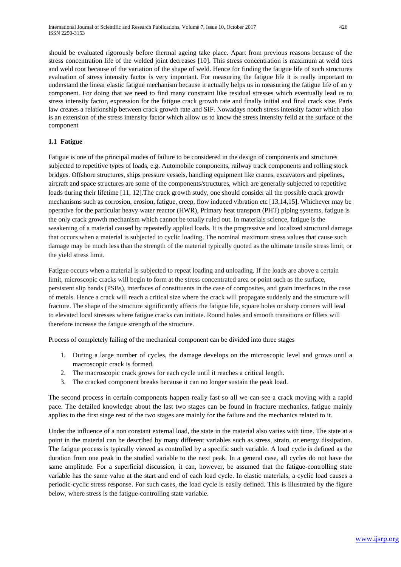should be evaluated rigorously before thermal ageing take place. Apart from previous reasons because of the stress concentration life of the welded joint decreases [10]. This stress concentration is maximum at weld toes and weld root because of the variation of the shape of weld. Hence for finding the fatigue life of such structures evaluation of stress intensity factor is very important. For measuring the fatigue life it is really important to understand the linear elastic fatigue mechanism because it actually helps us in measuring the fatigue life of an y component. For doing that we need to find many constraint like residual stresses which eventually lead us to stress intensity factor, expression for the fatigue crack growth rate and finally initial and final crack size. Paris law creates a relationship between crack growth rate and SIF. Nowadays notch stress intensity factor which also is an extension of the stress intensity factor which allow us to know the stress intensity feild at the surface of the component

# **1.1 Fatigue**

Fatigue is one of the principal modes of failure to be considered in the design of components and structures subjected to repetitive types of loads, e.g. Automobile components, railway track components and rolling stock bridges. Offshore structures, ships pressure vessels, handling equipment like cranes, excavators and pipelines, aircraft and space structures are some of the components/structures, which are generally subjected to repetitive loads during their lifetime [11, 12].The crack growth study, one should consider all the possible crack growth mechanisms such as corrosion, erosion, fatigue, creep, flow induced vibration etc [13,14,15]. Whichever may be operative for the particular heavy water reactor (HWR), Primary heat transport (PHT) piping systems, fatigue is the only crack growth mechanism which cannot be totally ruled out. In materials science, fatigue is the weakening of a material caused by repeatedly applied loads. It is the progressive and localized structural damage that occurs when a material is subjected to cyclic loading. The nominal maximum stress values that cause such damage may be much less than the strength of the material typically quoted as the ultimate tensile stress limit, or the yield stress limit.

Fatigue occurs when a material is subjected to repeat loading and unloading. If the loads are above a certain limit, microscopic cracks will begin to form at the stress concentrated area or point such as the surface, persistent slip bands (PSBs), interfaces of constituents in the case of composites, and grain interfaces in the case of metals. Hence a crack will reach a critical size where the crack will propagate suddenly and the structure will fracture. The shape of the structure significantly affects the fatigue life, square holes or sharp corners will lead to elevated local stresses where fatigue cracks can initiate. Round holes and smooth transitions or fillets will therefore increase the fatigue strength of the structure.

Process of completely failing of the mechanical component can be divided into three stages

- 1. During a large number of cycles, the damage develops on the microscopic level and grows until a macroscopic crack is formed.
- 2. The macroscopic crack grows for each cycle until it reaches a critical length.
- 3. The cracked component breaks because it can no longer sustain the peak load.

The second process in certain components happen really fast so all we can see a crack moving with a rapid pace. The detailed knowledge about the last two stages can be found in fracture mechanics, fatigue mainly applies to the first stage rest of the two stages are mainly for the failure and the mechanics related to it.

Under the influence of a non constant external load, the state in the material also varies with time. The state at a point in the material can be described by many different variables such as stress, strain, or energy dissipation. The fatigue process is typically viewed as controlled by a specific such variable. A load cycle is defined as the duration from one peak in the studied variable to the next peak. In a general case, all cycles do not have the same amplitude. For a superficial discussion, it can, however, be assumed that the fatigue-controlling state variable has the same value at the start and end of each load cycle. In elastic materials, a cyclic load causes a periodic-cyclic stress response. For such cases, the load cycle is easily defined. This is illustrated by the figure below, where stress is the fatigue-controlling state variable.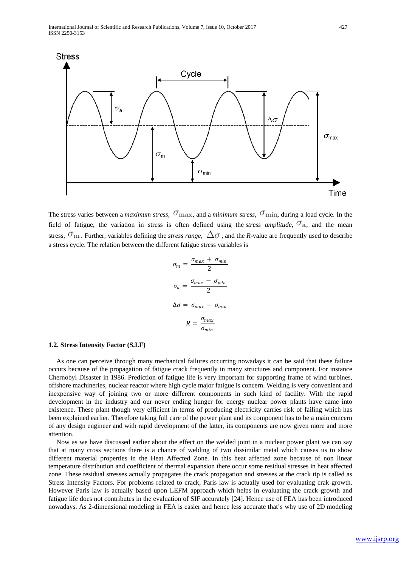

The stress varies between a *maximum stress*,  $\sigma_{\text{max}}$ , and a *minimum stress*,  $\sigma_{\text{min}}$ , during a load cycle. In the field of fatigue, the variation in stress is often defined using the *stress amplitude*,  $\sigma_a$ , and the mean stress,  $\sigma_{\rm m}$ . Further, variables defining the *stress range*,  $\Delta\sigma$ , and the *R*-value are frequently used to describe a stress cycle. The relation between the different fatigue stress variables is

$$
\sigma_m = \frac{\sigma_{max} + \sigma_{min}}{2}
$$

$$
\sigma_a = \frac{\sigma_{max} - \sigma_{min}}{2}
$$

$$
\Delta \sigma = \sigma_{max} - \sigma_{min}
$$

$$
R = \frac{\sigma_{max}}{\sigma_{min}}
$$

### **1.2. Stress Intensity Factor (S.I.F)**

As one can perceive through many mechanical failures occurring nowadays it can be said that these failure occurs because of the propagation of fatigue crack frequently in many structures and component. For instance Chernobyl Disaster in 1986. Prediction of fatigue life is very important for supporting frame of wind turbines, offshore machineries, nuclear reactor where high cycle major fatigue is concern. Welding is very convenient and inexpensive way of joining two or more different components in such kind of facility. With the rapid development in the industry and our never ending hunger for energy nuclear power plants have came into existence. These plant though very efficient in terms of producing electricity carries risk of failing which has been explained earlier. Therefore taking full care of the power plant and its component has to be a main concern of any design engineer and with rapid development of the latter, its components are now given more and more attention.

Now as we have discussed earlier about the effect on the welded joint in a nuclear power plant we can say that at many cross sections there is a chance of welding of two dissimilar metal which causes us to show different material properties in the Heat Affected Zone. In this heat affected zone because of non linear temperature distribution and coefficient of thermal expansion there occur some residual stresses in heat affected zone. These residual stresses actually propagates the crack propagation and stresses at the crack tip is called as Stress Intensity Factors. For problems related to crack, Paris law is actually used for evaluating crak growth. However Paris law is actually based upon LEFM approach which helps in evaluating the crack growth and fatigue life does not contributes in the evaluation of SIF accurately [24]. Hence use of FEA has been introduced nowadays. As 2-dimensional modeling in FEA is easier and hence less accurate that's why use of 2D modeling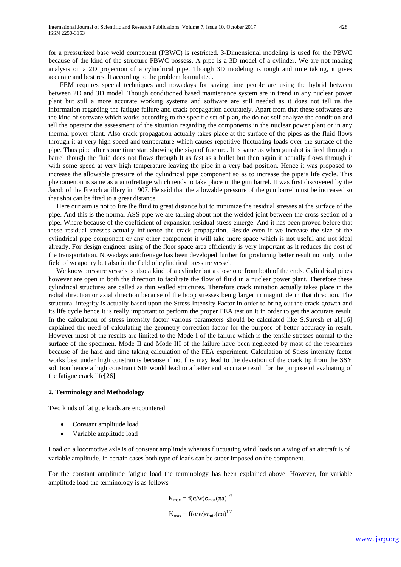for a pressurized base weld component (PBWC) is restricted. 3-Dimensional modeling is used for the PBWC because of the kind of the structure PBWC possess. A pipe is a 3D model of a cylinder. We are not making analysis on a 2D projection of a cylindrical pipe. Though 3D modeling is tough and time taking, it gives accurate and best result according to the problem formulated.

 FEM requires special techniques and nowadays for saving time people are using the hybrid between between 2D and 3D model. Though conditioned based maintenance system are in trend in any nuclear power plant but still a more accurate working systems and software are still needed as it does not tell us the information regarding the fatigue failure and crack propagation accurately. Apart from that these softwares are the kind of software which works according to the specific set of plan, the do not self analyze the condition and tell the operator the assessment of the situation regarding the components in the nuclear power plant or in any thermal power plant. Also crack propagation actually takes place at the surface of the pipes as the fluid flows through it at very high speed and temperature which causes repetitive fluctuating loads over the surface of the pipe. Thus pipe after some time start showing the sign of fracture. It is same as when gunshot is fired through a barrel though the fluid does not flows through It as fast as a bullet but then again it actually flows through it with some speed at very high temperature leaving the pipe in a very bad position. Hence it was proposed to increase the allowable pressure of the cylindrical pipe component so as to increase the pipe's life cycle. This phenomenon is same as a autofrettage which tends to take place in the gun barrel. It was first discovered by the Jacob of the French artillery in 1907. He said that the allowable pressure of the gun barrel must be increased so that shot can be fired to a great distance.

Here our aim is not to fire the fluid to great distance but to minimize the residual stresses at the surface of the pipe. And this is the normal ASS pipe we are talking about not the welded joint between the cross section of a pipe. Where because of the coefficient of expansion residual stress emerge. And it has been proved before that these residual stresses actually influence the crack propagation. Beside even if we increase the size of the cylindrical pipe component or any other component it will take more space which is not useful and not ideal already. For design engineer using of the floor space area efficiently is very important as it reduces the cost of the transportation. Nowadays autofrettage has been developed further for producing better result not only in the field of weaponry but also in the field of cylindrical pressure vessel.

We know pressure vessels is also a kind of a cylinder but a close one from both of the ends. Cylindrical pipes however are open in both the direction to facilitate the flow of fluid in a nuclear power plant. Therefore these cylindrical structures are called as thin walled structures. Therefore crack initiation actually takes place in the radial direction or axial direction because of the hoop stresses being larger in magnitude in that direction. The structural integrity is actually based upon the Stress Intensity Factor in order to bring out the crack growth and its life cycle hence it is really important to perform the proper FEA test on it in order to get the accurate result. In the calculation of stress intensity factor various parameters should be calculated like S.Suresh et al.[16] explained the need of calculating the geometry correction factor for the purpose of better accuracy in result. However most of the results are limited to the Mode-I of the failure which is the tensile stresses normal to the surface of the specimen. Mode II and Mode III of the failure have been neglected by most of the researches because of the hard and time taking calculation of the FEA experiment. Calculation of Stress intensity factor works best under high constraints because if not this may lead to the deviation of the crack tip from the SSY solution hence a high constraint SIF would lead to a better and accurate result for the purpose of evaluating of the fatigue crack life[26]

#### **2. Terminology and Methodology**

Two kinds of fatigue loads are encountered

- Constant amplitude load
- Variable amplitude load

Load on a locomotive axle is of constant amplitude whereas fluctuating wind loads on a wing of an aircraft is of variable amplitude. In certain cases both type of loads can be super imposed on the component.

For the constant amplitude fatigue load the terminology has been explained above. However, for variable amplitude load the terminology is as follows

$$
K_{\text{max}} = f(\alpha/w)\sigma_{\text{max}}(\pi a)^{1/2}
$$

$$
K_{\text{max}} = f(\alpha/w)\sigma_{\text{min}}(\pi a)^{1/2}
$$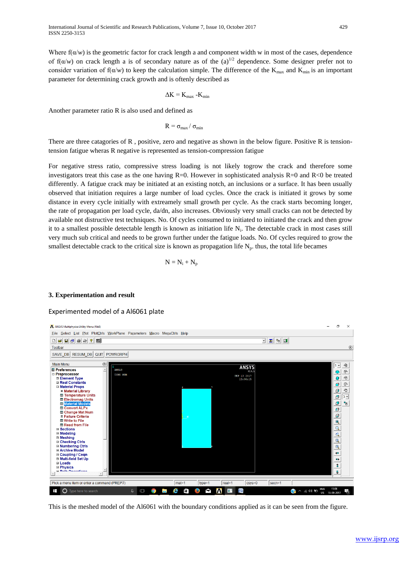Where  $f(\alpha/w)$  is the geometric factor for crack length a and component width w in most of the cases, dependence of  $f(\alpha/w)$  on crack length a is of secondary nature as of the (a)<sup>1/2</sup> dependence. Some designer prefer not to consider variation of  $f(\alpha/w)$  to keep the calculation simple. The difference of the K<sub>max</sub> and K<sub>min</sub> is an important parameter for determining crack growth and is oftenly described as

$$
\Delta K = K_{max} - K_{min}
$$

Another parameter ratio R is also used and defined as

 $R = \sigma_{\text{max}} / \sigma_{\text{min}}$ 

There are three catagories of R, positive, zero and negative as shown in the below figure. Positive R is tensiontension fatigue wheras R negative is represented as tension-compression fatigue

For negative stress ratio, compressive stress loading is not likely togrow the crack and therefore some investigators treat this case as the one having  $R=0$ . However in sophisticated analysis  $R=0$  and  $R<0$  be treated differently. A fatigue crack may be initiated at an existing notch, an inclusions or a surface. It has been usually observed that initiation requires a large number of load cycles. Once the crack is initiated it grows by some distance in every cycle initially with extreamely small growth per cycle. As the crack starts becoming longer, the rate of propagation per load cycle, da/dn, also increases. Obviously very small cracks can not be detected by available not distructive test techniques. No. Of cycles consumed to initiated to initiated the crack and then grow it to a smallest possible detectable length is known as initiation life  $N_i$ . The detectable crack in most cases still very much sub critical and needs to be grown further under the fatigue loads. No. Of cycles required to grow the smallest detectable crack to the critical size is known as propagation life  $N_p$ , thus, the total life becames

$$
N = N_i + N_p
$$

# **3. Experimentation and result**

### Experimented model of a Al6061 plate



This is the meshed model of the Al6061 with the boundary conditions applied as it can be seen from the figure.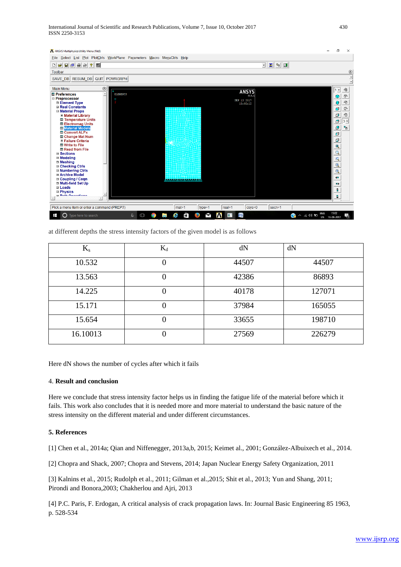International Journal of Scientific and Research Publications, Volume 7, Issue 10, October 2017 430 ISSN 2250-3153



at different depths the stress intensity factors of the given model is as follows

| $K_{s}$  | $K_d$ | dN    | dN     |
|----------|-------|-------|--------|
| 10.532   |       | 44507 | 44507  |
| 13.563   |       | 42386 | 86893  |
| 14.225   | 0     | 40178 | 127071 |
| 15.171   |       | 37984 | 165055 |
| 15.654   |       | 33655 | 198710 |
| 16.10013 |       | 27569 | 226279 |

Here dN shows the number of cycles after which it fails

### 4. **Result and conclusion**

Here we conclude that stress intensity factor helps us in finding the fatigue life of the material before which it fails. This work also concludes that it is needed more and more material to understand the basic nature of the stress intensity on the different material and under different circumstances.

# **5. References**

[1] Chen et al., 2014a; Qian and Niffenegger, 2013a,b, 2015; Keimet al., 2001; González-Albuixech et al., 2014.

[2] Chopra and Shack, 2007; Chopra and Stevens, 2014; Japan Nuclear Energy Safety Organization, 2011

[3] Kalnins et al., 2015; Rudolph et al., 2011; Gilman et al.,2015; Shit et al., 2013; Yun and Shang, 2011; Pirondi and Bonora,2003; Chakherlou and Ajri, 2013

[4] P.C. Paris, F. Erdogan, A critical analysis of crack propagation laws. In: Journal Basic Engineering 85 1963, p. 528-534